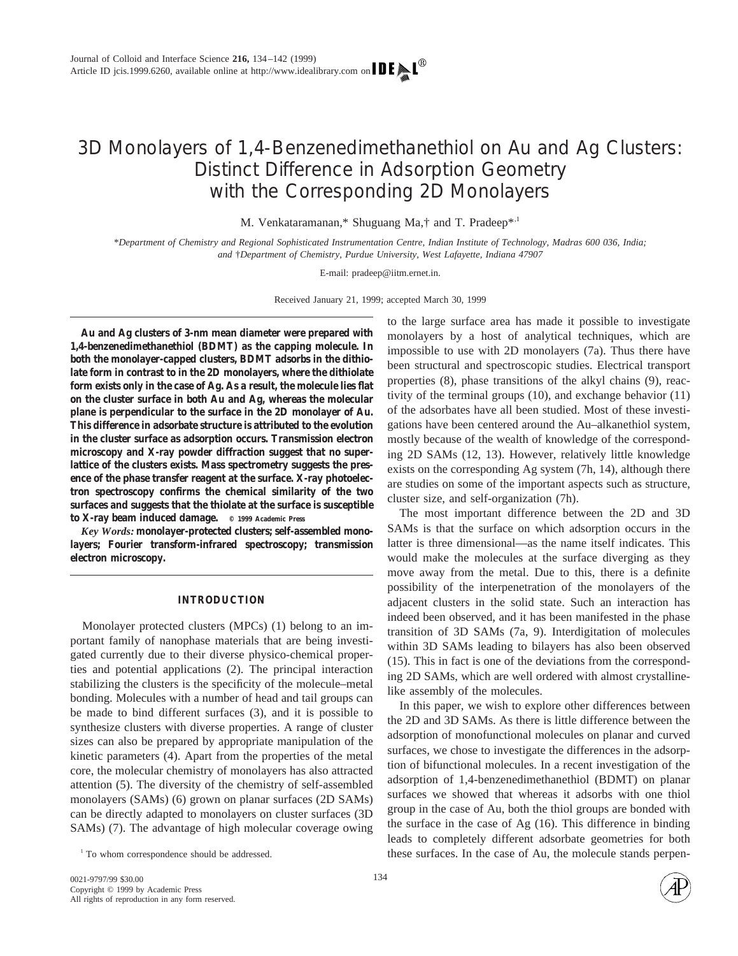# 3D Monolayers of 1,4-Benzenedimethanethiol on Au and Ag Clusters: Distinct Difference in Adsorption Geometry with the Corresponding 2D Monolayers

M. Venkataramanan,\* Shuguang Ma,† and T. Pradeep\*,<sup>1</sup>

\**Department of Chemistry and Regional Sophisticated Instrumentation Centre, Indian Institute of Technology, Madras 600 036, India; and* †*Department of Chemistry, Purdue University, West Lafayette, Indiana 47907*

E-mail: pradeep@iitm.ernet.in.

Received January 21, 1999; accepted March 30, 1999

**Au and Ag clusters of 3-nm mean diameter were prepared with 1,4-benzenedimethanethiol (BDMT) as the capping molecule. In both the monolayer-capped clusters, BDMT adsorbs in the dithiolate form in contrast to in the 2D monolayers, where the dithiolate form exists only in the case of Ag. As a result, the molecule lies flat on the cluster surface in both Au and Ag, whereas the molecular plane is perpendicular to the surface in the 2D monolayer of Au. This difference in adsorbate structure is attributed to the evolution in the cluster surface as adsorption occurs. Transmission electron microscopy and X-ray powder diffraction suggest that no superlattice of the clusters exists. Mass spectrometry suggests the presence of the phase transfer reagent at the surface. X-ray photoelectron spectroscopy confirms the chemical similarity of the two surfaces and suggests that the thiolate at the surface is susceptible to X-ray beam induced damage. © 1999 Academic Press**

*Key Words:* **monolayer-protected clusters; self-assembled monolayers; Fourier transform-infrared spectroscopy; transmission electron microscopy.**

## **INTRODUCTION**

Monolayer protected clusters (MPCs) (1) belong to an important family of nanophase materials that are being investigated currently due to their diverse physico-chemical properties and potential applications (2). The principal interaction stabilizing the clusters is the specificity of the molecule–metal bonding. Molecules with a number of head and tail groups can be made to bind different surfaces (3), and it is possible to synthesize clusters with diverse properties. A range of cluster sizes can also be prepared by appropriate manipulation of the kinetic parameters (4). Apart from the properties of the metal core, the molecular chemistry of monolayers has also attracted attention (5). The diversity of the chemistry of self-assembled monolayers (SAMs) (6) grown on planar surfaces (2D SAMs) can be directly adapted to monolayers on cluster surfaces (3D SAMs) (7). The advantage of high molecular coverage owing

to the large surface area has made it possible to investigate monolayers by a host of analytical techniques, which are impossible to use with 2D monolayers (7a). Thus there have been structural and spectroscopic studies. Electrical transport properties (8), phase transitions of the alkyl chains (9), reactivity of the terminal groups (10), and exchange behavior (11) of the adsorbates have all been studied. Most of these investigations have been centered around the Au–alkanethiol system, mostly because of the wealth of knowledge of the corresponding 2D SAMs (12, 13). However, relatively little knowledge exists on the corresponding Ag system (7h, 14), although there are studies on some of the important aspects such as structure, cluster size, and self-organization (7h).

The most important difference between the 2D and 3D SAMs is that the surface on which adsorption occurs in the latter is three dimensional—as the name itself indicates. This would make the molecules at the surface diverging as they move away from the metal. Due to this, there is a definite possibility of the interpenetration of the monolayers of the adjacent clusters in the solid state. Such an interaction has indeed been observed, and it has been manifested in the phase transition of 3D SAMs (7a, 9). Interdigitation of molecules within 3D SAMs leading to bilayers has also been observed (15). This in fact is one of the deviations from the corresponding 2D SAMs, which are well ordered with almost crystallinelike assembly of the molecules.

In this paper, we wish to explore other differences between the 2D and 3D SAMs. As there is little difference between the adsorption of monofunctional molecules on planar and curved surfaces, we chose to investigate the differences in the adsorption of bifunctional molecules. In a recent investigation of the adsorption of 1,4-benzenedimethanethiol (BDMT) on planar surfaces we showed that whereas it adsorbs with one thiol group in the case of Au, both the thiol groups are bonded with the surface in the case of Ag (16). This difference in binding leads to completely different adsorbate geometries for both <sup>1</sup> To whom correspondence should be addressed. These surfaces. In the case of Au, the molecule stands perpen-

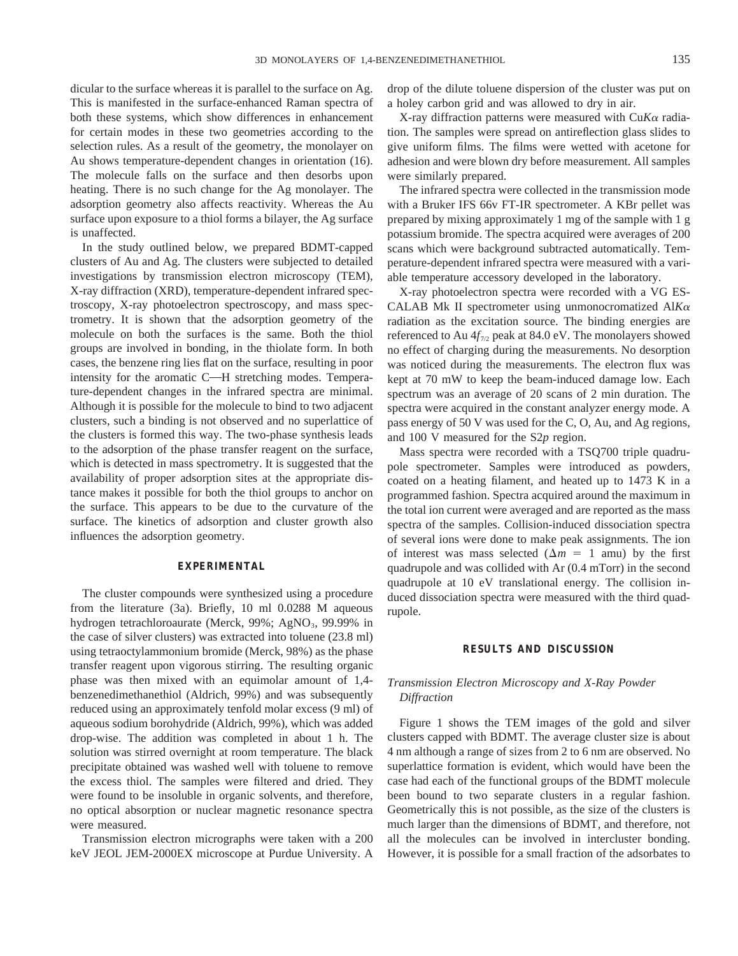dicular to the surface whereas it is parallel to the surface on Ag. This is manifested in the surface-enhanced Raman spectra of both these systems, which show differences in enhancement for certain modes in these two geometries according to the selection rules. As a result of the geometry, the monolayer on Au shows temperature-dependent changes in orientation (16). The molecule falls on the surface and then desorbs upon heating. There is no such change for the Ag monolayer. The adsorption geometry also affects reactivity. Whereas the Au surface upon exposure to a thiol forms a bilayer, the Ag surface is unaffected.

In the study outlined below, we prepared BDMT-capped clusters of Au and Ag. The clusters were subjected to detailed investigations by transmission electron microscopy (TEM), X-ray diffraction (XRD), temperature-dependent infrared spectroscopy, X-ray photoelectron spectroscopy, and mass spectrometry. It is shown that the adsorption geometry of the molecule on both the surfaces is the same. Both the thiol groups are involved in bonding, in the thiolate form. In both cases, the benzene ring lies flat on the surface, resulting in poor intensity for the aromatic C—H stretching modes. Temperature-dependent changes in the infrared spectra are minimal. Although it is possible for the molecule to bind to two adjacent clusters, such a binding is not observed and no superlattice of the clusters is formed this way. The two-phase synthesis leads to the adsorption of the phase transfer reagent on the surface, which is detected in mass spectrometry. It is suggested that the availability of proper adsorption sites at the appropriate distance makes it possible for both the thiol groups to anchor on the surface. This appears to be due to the curvature of the surface. The kinetics of adsorption and cluster growth also influences the adsorption geometry.

## **EXPERIMENTAL**

The cluster compounds were synthesized using a procedure from the literature (3a). Briefly, 10 ml 0.0288 M aqueous hydrogen tetrachloroaurate (Merck,  $99\%$ ; AgNO<sub>3</sub>,  $99.99\%$  in the case of silver clusters) was extracted into toluene (23.8 ml) using tetraoctylammonium bromide (Merck, 98%) as the phase transfer reagent upon vigorous stirring. The resulting organic phase was then mixed with an equimolar amount of 1,4 benzenedimethanethiol (Aldrich, 99%) and was subsequently reduced using an approximately tenfold molar excess (9 ml) of aqueous sodium borohydride (Aldrich, 99%), which was added drop-wise. The addition was completed in about 1 h. The solution was stirred overnight at room temperature. The black precipitate obtained was washed well with toluene to remove the excess thiol. The samples were filtered and dried. They were found to be insoluble in organic solvents, and therefore, no optical absorption or nuclear magnetic resonance spectra were measured.

Transmission electron micrographs were taken with a 200 keV JEOL JEM-2000EX microscope at Purdue University. A

drop of the dilute toluene dispersion of the cluster was put on a holey carbon grid and was allowed to dry in air.

X-ray diffraction patterns were measured with Cu*K*<sup>a</sup> radiation. The samples were spread on antireflection glass slides to give uniform films. The films were wetted with acetone for adhesion and were blown dry before measurement. All samples were similarly prepared.

The infrared spectra were collected in the transmission mode with a Bruker IFS 66v FT-IR spectrometer. A KBr pellet was prepared by mixing approximately 1 mg of the sample with 1 g potassium bromide. The spectra acquired were averages of 200 scans which were background subtracted automatically. Temperature-dependent infrared spectra were measured with a variable temperature accessory developed in the laboratory.

X-ray photoelectron spectra were recorded with a VG ES-CALAB Mk II spectrometer using unmonocromatized Al*K*<sup>a</sup> radiation as the excitation source. The binding energies are referenced to Au  $4f_{7/2}$  peak at 84.0 eV. The monolayers showed no effect of charging during the measurements. No desorption was noticed during the measurements. The electron flux was kept at 70 mW to keep the beam-induced damage low. Each spectrum was an average of 20 scans of 2 min duration. The spectra were acquired in the constant analyzer energy mode. A pass energy of 50 V was used for the C, O, Au, and Ag regions, and 100 V measured for the S2*p* region.

Mass spectra were recorded with a TSQ700 triple quadrupole spectrometer. Samples were introduced as powders, coated on a heating filament, and heated up to 1473 K in a programmed fashion. Spectra acquired around the maximum in the total ion current were averaged and are reported as the mass spectra of the samples. Collision-induced dissociation spectra of several ions were done to make peak assignments. The ion of interest was mass selected  $(\Delta m = 1$  amu) by the first quadrupole and was collided with Ar (0.4 mTorr) in the second quadrupole at 10 eV translational energy. The collision induced dissociation spectra were measured with the third quadrupole.

#### **RESULTS AND DISCUSSION**

# *Transmission Electron Microscopy and X-Ray Powder Diffraction*

Figure 1 shows the TEM images of the gold and silver clusters capped with BDMT. The average cluster size is about 4 nm although a range of sizes from 2 to 6 nm are observed. No superlattice formation is evident, which would have been the case had each of the functional groups of the BDMT molecule been bound to two separate clusters in a regular fashion. Geometrically this is not possible, as the size of the clusters is much larger than the dimensions of BDMT, and therefore, not all the molecules can be involved in intercluster bonding. However, it is possible for a small fraction of the adsorbates to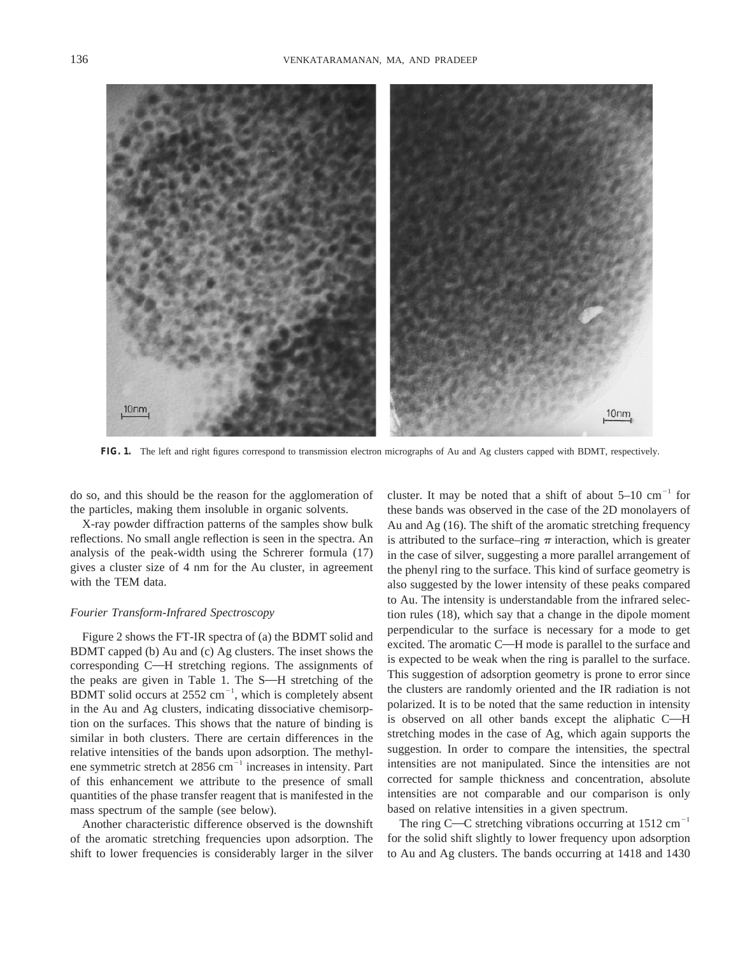

**FIG. 1.** The left and right figures correspond to transmission electron micrographs of Au and Ag clusters capped with BDMT, respectively.

do so, and this should be the reason for the agglomeration of the particles, making them insoluble in organic solvents.

X-ray powder diffraction patterns of the samples show bulk reflections. No small angle reflection is seen in the spectra. An analysis of the peak-width using the Schrerer formula (17) gives a cluster size of 4 nm for the Au cluster, in agreement with the TEM data.

#### *Fourier Transform-Infrared Spectroscopy*

Figure 2 shows the FT-IR spectra of (a) the BDMT solid and BDMT capped (b) Au and (c) Ag clusters. The inset shows the corresponding C—H stretching regions. The assignments of the peaks are given in Table 1. The  $S$ —H stretching of the BDMT solid occurs at  $2552 \text{ cm}^{-1}$ , which is completely absent in the Au and Ag clusters, indicating dissociative chemisorption on the surfaces. This shows that the nature of binding is similar in both clusters. There are certain differences in the relative intensities of the bands upon adsorption. The methylene symmetric stretch at  $2856$  cm<sup> $^{-1}$ </sup> increases in intensity. Part of this enhancement we attribute to the presence of small quantities of the phase transfer reagent that is manifested in the mass spectrum of the sample (see below).

Another characteristic difference observed is the downshift of the aromatic stretching frequencies upon adsorption. The shift to lower frequencies is considerably larger in the silver

cluster. It may be noted that a shift of about  $5-10$  cm<sup>-1</sup> for these bands was observed in the case of the 2D monolayers of Au and Ag (16). The shift of the aromatic stretching frequency is attributed to the surface–ring  $\pi$  interaction, which is greater in the case of silver, suggesting a more parallel arrangement of the phenyl ring to the surface. This kind of surface geometry is also suggested by the lower intensity of these peaks compared to Au. The intensity is understandable from the infrared selection rules (18), which say that a change in the dipole moment perpendicular to the surface is necessary for a mode to get excited. The aromatic C $-H$  mode is parallel to the surface and is expected to be weak when the ring is parallel to the surface. This suggestion of adsorption geometry is prone to error since the clusters are randomly oriented and the IR radiation is not polarized. It is to be noted that the same reduction in intensity is observed on all other bands except the aliphatic C-H stretching modes in the case of Ag, which again supports the suggestion. In order to compare the intensities, the spectral intensities are not manipulated. Since the intensities are not corrected for sample thickness and concentration, absolute intensities are not comparable and our comparison is only based on relative intensities in a given spectrum.

The ring C—C stretching vibrations occurring at  $1512 \text{ cm}^{-1}$ for the solid shift slightly to lower frequency upon adsorption to Au and Ag clusters. The bands occurring at 1418 and 1430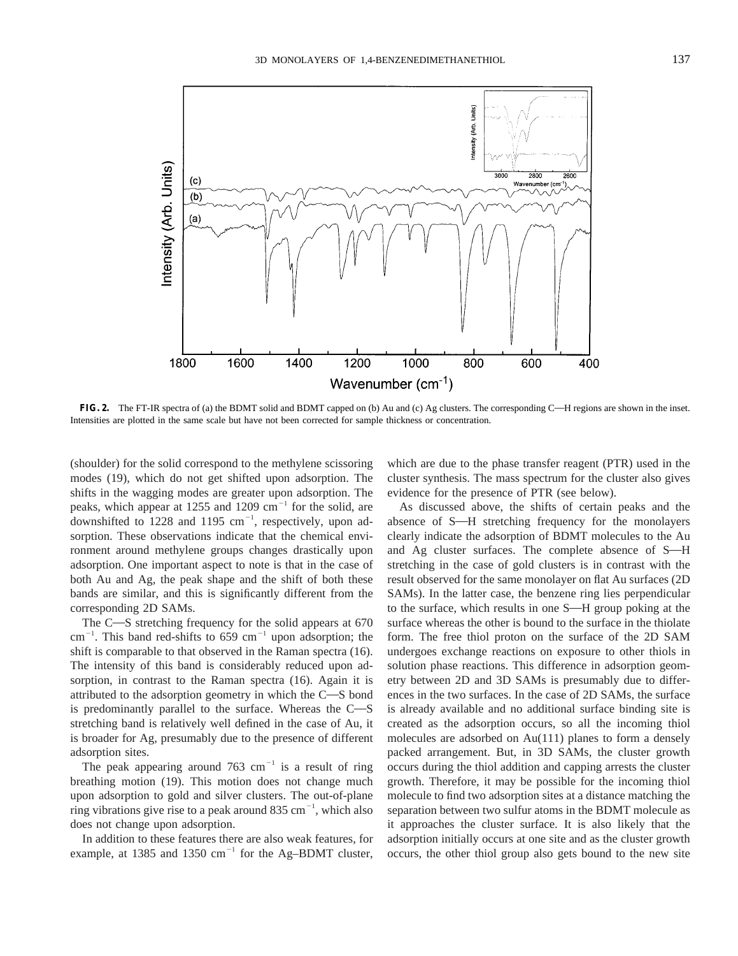

**FIG. 2.** The FT-IR spectra of (a) the BDMT solid and BDMT capped on (b) Au and (c) Ag clusters. The corresponding C—H regions are shown in the inset. Intensities are plotted in the same scale but have not been corrected for sample thickness or concentration.

(shoulder) for the solid correspond to the methylene scissoring modes (19), which do not get shifted upon adsorption. The shifts in the wagging modes are greater upon adsorption. The peaks, which appear at 1255 and 1209 cm<sup>-1</sup> for the solid, are downshifted to 1228 and 1195  $cm^{-1}$ , respectively, upon adsorption. These observations indicate that the chemical environment around methylene groups changes drastically upon adsorption. One important aspect to note is that in the case of both Au and Ag, the peak shape and the shift of both these bands are similar, and this is significantly different from the corresponding 2D SAMs.

The  $C$ —S stretching frequency for the solid appears at  $670$  $\text{cm}^{-1}$ . This band red-shifts to 659 cm<sup>-1</sup> upon adsorption; the shift is comparable to that observed in the Raman spectra (16). The intensity of this band is considerably reduced upon adsorption, in contrast to the Raman spectra (16). Again it is attributed to the adsorption geometry in which the  $C-S$  bond is predominantly parallel to the surface. Whereas the  $C-S$ stretching band is relatively well defined in the case of Au, it is broader for Ag, presumably due to the presence of different adsorption sites.

The peak appearing around 763 cm<sup>-1</sup> is a result of ring breathing motion (19). This motion does not change much upon adsorption to gold and silver clusters. The out-of-plane ring vibrations give rise to a peak around 835  $cm^{-1}$ , which also does not change upon adsorption.

In addition to these features there are also weak features, for example, at 1385 and 1350  $cm^{-1}$  for the Ag–BDMT cluster,

which are due to the phase transfer reagent (PTR) used in the cluster synthesis. The mass spectrum for the cluster also gives evidence for the presence of PTR (see below).

As discussed above, the shifts of certain peaks and the absence of S-H stretching frequency for the monolayers clearly indicate the adsorption of BDMT molecules to the Au and Ag cluster surfaces. The complete absence of S-H stretching in the case of gold clusters is in contrast with the result observed for the same monolayer on flat Au surfaces (2D SAMs). In the latter case, the benzene ring lies perpendicular to the surface, which results in one S—H group poking at the surface whereas the other is bound to the surface in the thiolate form. The free thiol proton on the surface of the 2D SAM undergoes exchange reactions on exposure to other thiols in solution phase reactions. This difference in adsorption geometry between 2D and 3D SAMs is presumably due to differences in the two surfaces. In the case of 2D SAMs, the surface is already available and no additional surface binding site is created as the adsorption occurs, so all the incoming thiol molecules are adsorbed on Au(111) planes to form a densely packed arrangement. But, in 3D SAMs, the cluster growth occurs during the thiol addition and capping arrests the cluster growth. Therefore, it may be possible for the incoming thiol molecule to find two adsorption sites at a distance matching the separation between two sulfur atoms in the BDMT molecule as it approaches the cluster surface. It is also likely that the adsorption initially occurs at one site and as the cluster growth occurs, the other thiol group also gets bound to the new site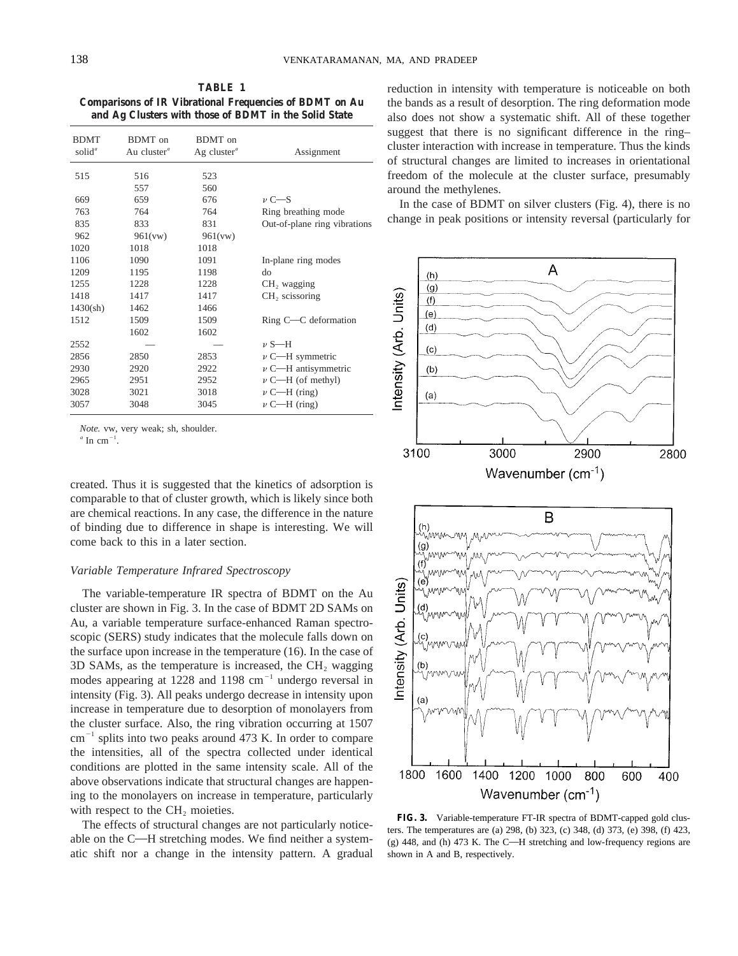**TABLE 1 Comparisons of IR Vibrational Frequencies of BDMT on Au and Ag Clusters with those of BDMT in the Solid State**

| <b>BDMT</b><br>solid <sup><math>a</math></sup> | BDMT on<br>Au cluster <sup><math>a</math></sup> | BDMT on<br>Ag cluster <sup><i>a</i></sup> | Assignment                   |
|------------------------------------------------|-------------------------------------------------|-------------------------------------------|------------------------------|
| 515                                            | 516                                             | 523                                       |                              |
|                                                | 557                                             | 560                                       |                              |
| 669                                            | 659                                             | 676                                       | $\nu$ C—S                    |
| 763                                            | 764                                             | 764                                       | Ring breathing mode          |
| 835                                            | 833                                             | 831                                       | Out-of-plane ring vibrations |
| 962                                            | 961(vw)                                         | 961(vw)                                   |                              |
| 1020                                           | 1018                                            | 1018                                      |                              |
| 1106                                           | 1090                                            | 1091                                      | In-plane ring modes          |
| 1209                                           | 1195                                            | 1198                                      | do                           |
| 1255                                           | 1228                                            | 1228                                      | CH, wagging                  |
| 1418                                           | 1417                                            | 1417                                      | $CH2$ scissoring             |
| 1430(sh)                                       | 1462                                            | 1466                                      |                              |
| 1512                                           | 1509                                            | 1509                                      | Ring C-C deformation         |
|                                                | 1602                                            | 1602                                      |                              |
| 2552                                           |                                                 |                                           | $\nu$ S—H                    |
| 2856                                           | 2850                                            | 2853                                      | $\nu$ C—H symmetric          |
| 2930                                           | 2920                                            | 2922                                      | $\nu$ C—H antisymmetric      |
| 2965                                           | 2951                                            | 2952                                      | $\nu$ C—H (of methyl)        |
| 3028                                           | 3021                                            | 3018                                      | $\nu$ C—H (ring)             |
| 3057                                           | 3048                                            | 3045                                      | $\nu$ C—H (ring)             |
|                                                |                                                 |                                           |                              |

*Note.* vw, very weak; sh, shoulder.

 $^a$  In cm<sup>-1</sup>.

created. Thus it is suggested that the kinetics of adsorption is comparable to that of cluster growth, which is likely since both are chemical reactions. In any case, the difference in the nature of binding due to difference in shape is interesting. We will come back to this in a later section.

#### *Variable Temperature Infrared Spectroscopy*

The variable-temperature IR spectra of BDMT on the Au cluster are shown in Fig. 3. In the case of BDMT 2D SAMs on Au, a variable temperature surface-enhanced Raman spectroscopic (SERS) study indicates that the molecule falls down on the surface upon increase in the temperature (16). In the case of  $3D$  SAMs, as the temperature is increased, the CH<sub>2</sub> wagging modes appearing at 1228 and 1198  $cm^{-1}$  undergo reversal in intensity (Fig. 3). All peaks undergo decrease in intensity upon increase in temperature due to desorption of monolayers from the cluster surface. Also, the ring vibration occurring at 1507  $cm^{-1}$  splits into two peaks around 473 K. In order to compare the intensities, all of the spectra collected under identical conditions are plotted in the same intensity scale. All of the above observations indicate that structural changes are happening to the monolayers on increase in temperature, particularly with respect to the  $CH<sub>2</sub>$  moieties.

The effects of structural changes are not particularly noticeable on the  $C-H$  stretching modes. We find neither a systematic shift nor a change in the intensity pattern. A gradual reduction in intensity with temperature is noticeable on both the bands as a result of desorption. The ring deformation mode also does not show a systematic shift. All of these together suggest that there is no significant difference in the ring– cluster interaction with increase in temperature. Thus the kinds of structural changes are limited to increases in orientational freedom of the molecule at the cluster surface, presumably around the methylenes.

In the case of BDMT on silver clusters (Fig. 4), there is no change in peak positions or intensity reversal (particularly for





**FIG. 3.** Variable-temperature FT-IR spectra of BDMT-capped gold clusters. The temperatures are (a) 298, (b) 323, (c) 348, (d) 373, (e) 398, (f) 423, (g) 448, and (h) 473 K. The C-H stretching and low-frequency regions are shown in A and B, respectively.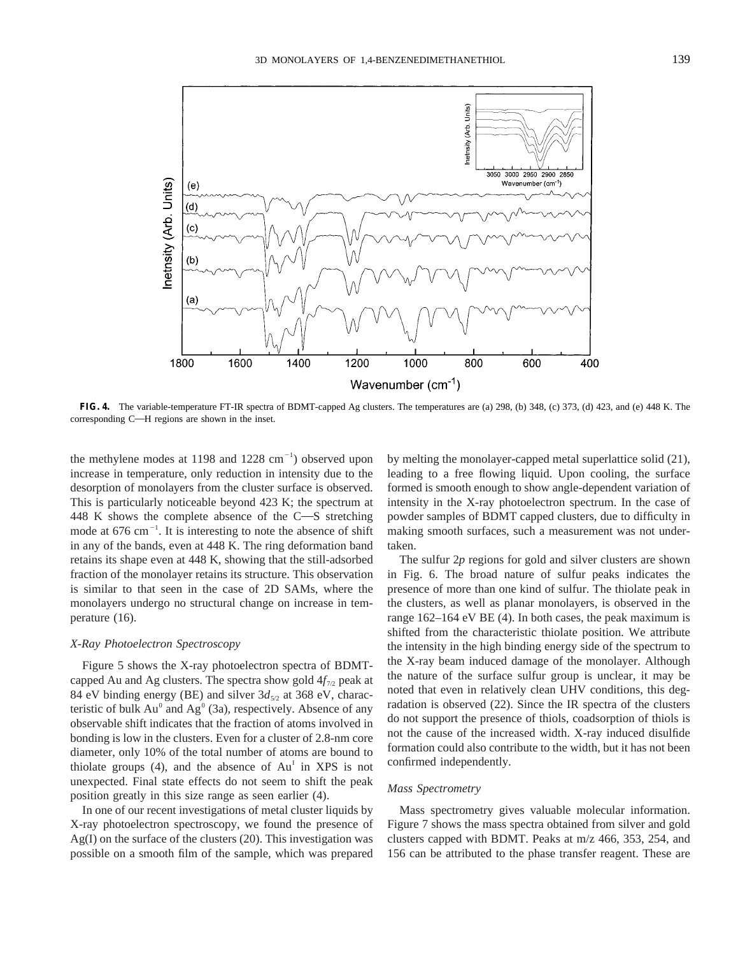

**FIG. 4.** The variable-temperature FT-IR spectra of BDMT-capped Ag clusters. The temperatures are (a) 298, (b) 348, (c) 373, (d) 423, and (e) 448 K. The corresponding  $C$ —H regions are shown in the inset.

the methylene modes at 1198 and  $1228 \text{ cm}^{-1}$ ) observed upon increase in temperature, only reduction in intensity due to the desorption of monolayers from the cluster surface is observed. This is particularly noticeable beyond 423 K; the spectrum at 448 K shows the complete absence of the  $C-S$  stretching mode at  $676 \text{ cm}^{-1}$ . It is interesting to note the absence of shift in any of the bands, even at 448 K. The ring deformation band retains its shape even at 448 K, showing that the still-adsorbed fraction of the monolayer retains its structure. This observation is similar to that seen in the case of 2D SAMs, where the monolayers undergo no structural change on increase in temperature (16).

### *X-Ray Photoelectron Spectroscopy*

Figure 5 shows the X-ray photoelectron spectra of BDMTcapped Au and Ag clusters. The spectra show gold  $4f_{7/2}$  peak at 84 eV binding energy (BE) and silver  $3d_{5/2}$  at 368 eV, characteristic of bulk  $Au^0$  and  $Ag^0$  (3a), respectively. Absence of any observable shift indicates that the fraction of atoms involved in bonding is low in the clusters. Even for a cluster of 2.8-nm core diameter, only 10% of the total number of atoms are bound to thiolate groups  $(4)$ , and the absence of  $Au<sup>T</sup>$  in XPS is not unexpected. Final state effects do not seem to shift the peak position greatly in this size range as seen earlier (4).

In one of our recent investigations of metal cluster liquids by X-ray photoelectron spectroscopy, we found the presence of Ag(I) on the surface of the clusters (20). This investigation was possible on a smooth film of the sample, which was prepared

by melting the monolayer-capped metal superlattice solid (21), leading to a free flowing liquid. Upon cooling, the surface formed is smooth enough to show angle-dependent variation of intensity in the X-ray photoelectron spectrum. In the case of powder samples of BDMT capped clusters, due to difficulty in making smooth surfaces, such a measurement was not undertaken.

The sulfur 2*p* regions for gold and silver clusters are shown in Fig. 6. The broad nature of sulfur peaks indicates the presence of more than one kind of sulfur. The thiolate peak in the clusters, as well as planar monolayers, is observed in the range 162–164 eV BE (4). In both cases, the peak maximum is shifted from the characteristic thiolate position. We attribute the intensity in the high binding energy side of the spectrum to the X-ray beam induced damage of the monolayer. Although the nature of the surface sulfur group is unclear, it may be noted that even in relatively clean UHV conditions, this degradation is observed (22). Since the IR spectra of the clusters do not support the presence of thiols, coadsorption of thiols is not the cause of the increased width. X-ray induced disulfide formation could also contribute to the width, but it has not been confirmed independently.

## *Mass Spectrometry*

Mass spectrometry gives valuable molecular information. Figure 7 shows the mass spectra obtained from silver and gold clusters capped with BDMT. Peaks at m/z 466, 353, 254, and 156 can be attributed to the phase transfer reagent. These are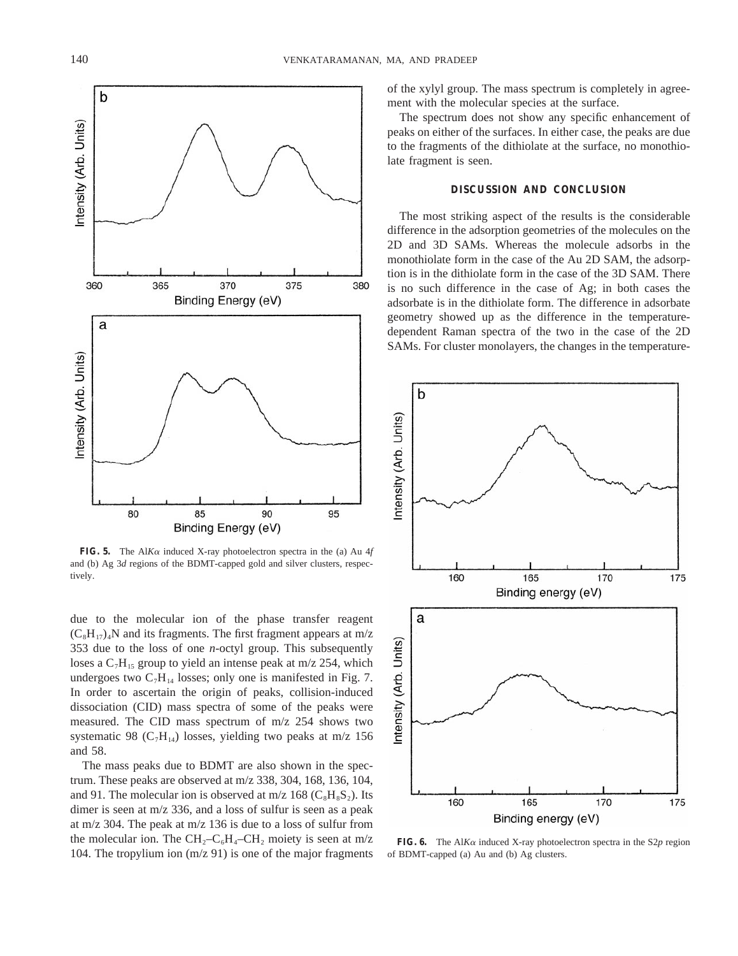

**FIG. 5.** The Al*K* $\alpha$  induced X-ray photoelectron spectra in the (a) Au 4*f* and (b) Ag 3*d* regions of the BDMT-capped gold and silver clusters, respectively.

due to the molecular ion of the phase transfer reagent  $(C_8H_{17})$ <sub>4</sub>N and its fragments. The first fragment appears at m/z 353 due to the loss of one *n*-octyl group. This subsequently loses a  $C_7H_{15}$  group to yield an intense peak at m/z 254, which undergoes two  $C_7H_{14}$  losses; only one is manifested in Fig. 7. In order to ascertain the origin of peaks, collision-induced dissociation (CID) mass spectra of some of the peaks were measured. The CID mass spectrum of m/z 254 shows two systematic 98 ( $C_7H_{14}$ ) losses, yielding two peaks at m/z 156 and 58.

The mass peaks due to BDMT are also shown in the spectrum. These peaks are observed at m/z 338, 304, 168, 136, 104, and 91. The molecular ion is observed at m/z 168 ( $C_8H_8S_2$ ). Its dimer is seen at m/z 336, and a loss of sulfur is seen as a peak at m/z 304. The peak at m/z 136 is due to a loss of sulfur from the molecular ion. The  $CH_2-C_6H_4-CH_2$  moiety is seen at m/z 104. The tropylium ion (m/z 91) is one of the major fragments of the xylyl group. The mass spectrum is completely in agreement with the molecular species at the surface.

The spectrum does not show any specific enhancement of peaks on either of the surfaces. In either case, the peaks are due to the fragments of the dithiolate at the surface, no monothiolate fragment is seen.

## **DISCUSSION AND CONCLUSION**

The most striking aspect of the results is the considerable difference in the adsorption geometries of the molecules on the 2D and 3D SAMs. Whereas the molecule adsorbs in the monothiolate form in the case of the Au 2D SAM, the adsorption is in the dithiolate form in the case of the 3D SAM. There is no such difference in the case of Ag; in both cases the adsorbate is in the dithiolate form. The difference in adsorbate geometry showed up as the difference in the temperaturedependent Raman spectra of the two in the case of the 2D SAMs. For cluster monolayers, the changes in the temperature-



**FIG. 6.** The Al*K* $\alpha$  induced X-ray photoelectron spectra in the S2*p* region of BDMT-capped (a) Au and (b) Ag clusters.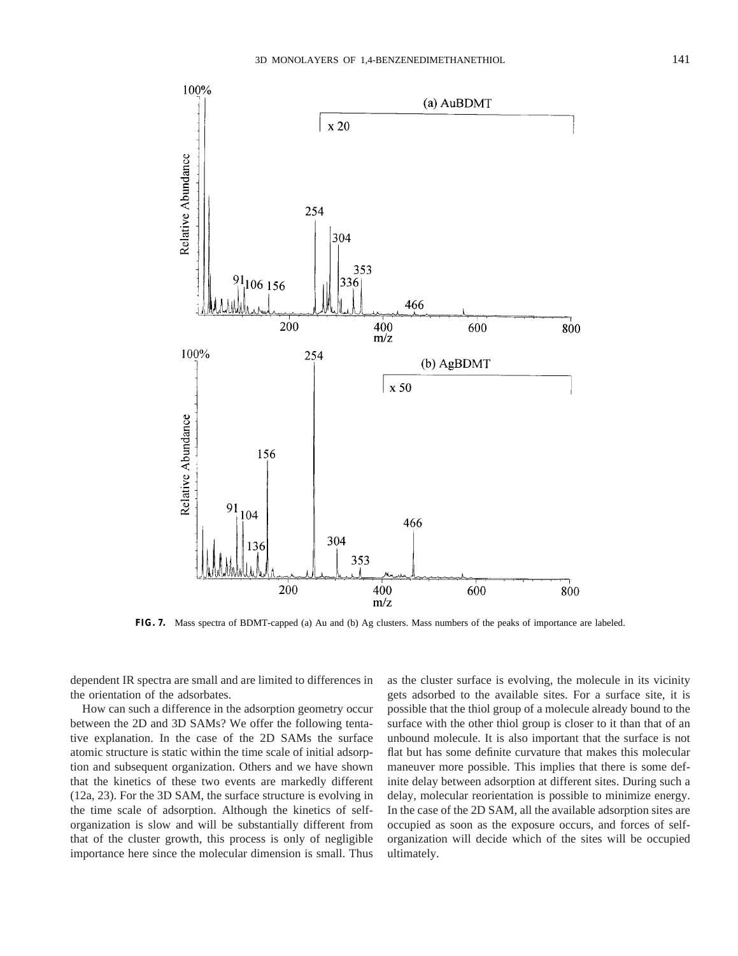

**FIG. 7.** Mass spectra of BDMT-capped (a) Au and (b) Ag clusters. Mass numbers of the peaks of importance are labeled.

dependent IR spectra are small and are limited to differences in the orientation of the adsorbates.

How can such a difference in the adsorption geometry occur between the 2D and 3D SAMs? We offer the following tentative explanation. In the case of the 2D SAMs the surface atomic structure is static within the time scale of initial adsorption and subsequent organization. Others and we have shown that the kinetics of these two events are markedly different (12a, 23). For the 3D SAM, the surface structure is evolving in the time scale of adsorption. Although the kinetics of selforganization is slow and will be substantially different from that of the cluster growth, this process is only of negligible importance here since the molecular dimension is small. Thus as the cluster surface is evolving, the molecule in its vicinity gets adsorbed to the available sites. For a surface site, it is possible that the thiol group of a molecule already bound to the surface with the other thiol group is closer to it than that of an unbound molecule. It is also important that the surface is not flat but has some definite curvature that makes this molecular maneuver more possible. This implies that there is some definite delay between adsorption at different sites. During such a delay, molecular reorientation is possible to minimize energy. In the case of the 2D SAM, all the available adsorption sites are occupied as soon as the exposure occurs, and forces of selforganization will decide which of the sites will be occupied ultimately.